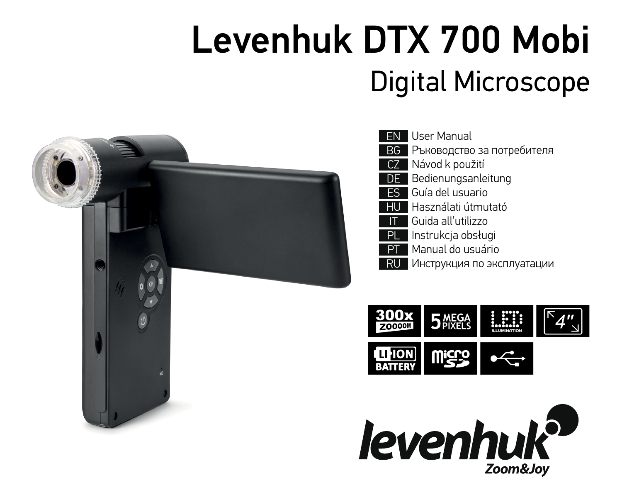# Levenhuk DTX 700 Mobi Digital Microscope



| FN   | User Manual                |
|------|----------------------------|
| ВG   | Ръководство за потребителя |
| CZ   | Návod k použití            |
| DE - | Bedienungsanleitung        |
| ES l | l Guía del usuario         |
| HU   | Használati útmutató        |
|      |                            |
|      | Guida all'utilizzo         |
| PL   | Instrukcja obsługi         |
|      | Manual do usuário          |
|      | Инструкция по эксплуатации |



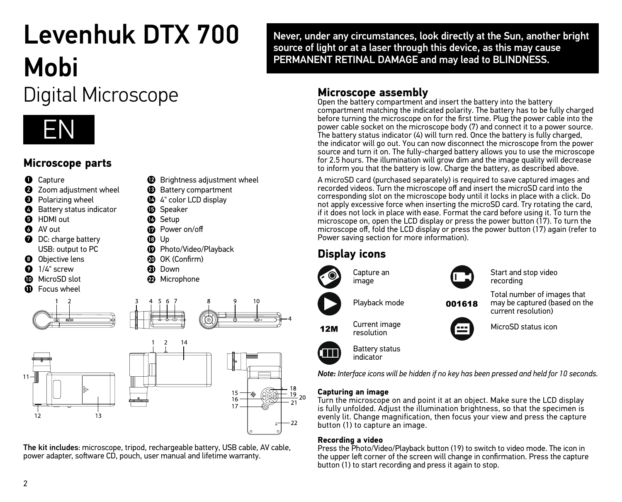## Levenhuk DTX 700 Mobi

## Digital Microscope



## **Microscope parts**

- **O** Capture **2** Zoom adjustment wheel **O** Polarizing wheel **Battery status indicator**
- **6** HDMI out
- $\bullet$  AV out
- **D** DC: charge battery USB: output to PC
- **O** Objective lens  $\Omega$  1/4" screw
- MicroSD slot
- **n** Focus wheel



- **D** Speaker
- **13** Setup
- Power on/off
- $\mathbf{D}$  Up
- **C** Photo/Video/Playback

**B** Brightness adjustment wheel

- OK (Confirm)
- **a** Down
	- **22** Microphone







The kit includes: microscope, tripod, rechargeable battery, USB cable, AV cable, power adapter, software CD, pouch, user manual and lifetime warranty.

Never, under any circumstances, look directly at the Sun, another bright source of light or at a laser through this device, as this may cause PERMANENT RETINAL DAMAGE and may lead to BLINDNESS.

## **Microscope assembly**

Open the battery compartment and insert the battery into the battery compartment matching the indicated polarity. The battery has to be fully charged before turning the microscope on for the first time. Plug the power cable into the power cable socket on the microscope body (7) and connect it to a power source. The battery status indicator (4) will turn red. Once the battery is fully charged, the indicator will go out. You can now disconnect the microscope from the power source and turn it on. The fully-charged battery allows you to use the microscope for 2.5 hours. The illumination will grow dim and the image quality will decrease to inform you that the battery is low. Charge the battery, as described above.

A microSD card (purchased separately) is required to save captured images and recorded videos. Turn the microscope off and insert the microSD card into the corresponding slot on the microscope body until it locks in place with a click. Do not apply excessive force when inserting the microSD card. Try rotating the card, if it does not lock in place with ease. Format the card before using it. To turn the microscope on, open the LCD display or press the power button (17). To turn the microscope off, fold the LCD display or press the power button (17) again (refer to microscope off, fold the LCD display or press the power button (17) again (refer to Power saving section for more information).

## **Display icons**

 $12M$ 

= 18<br><u>= 19</u> <sub>20</sub>





Start and stop video recording

Playback mode

resolution

Battery status indicator

Total number of images that may be captured (based on the 001618

current resolution) MicroSD status icon

*Note: Interface icons will be hidden if no key has been pressed and held for 10 seconds.* 

#### **Capturing an image**

Turn the microscope on and point it at an object. Make sure the LCD display is fully unfolded. Adjust the illumination brightness, so that the specimen is evenly lit. Change magnification, then focus your view and press the capture button (1) to capture an image.

#### **Recording a video**

Press the Photo/Video/Playback button (19) to switch to video mode. The icon in the upper left corner of the screen will change in confirmation. Press the capture button (1) to start recording and press it again to stop.

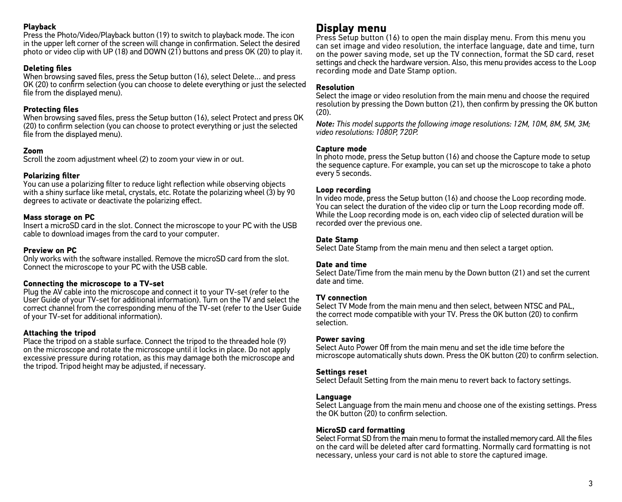#### **Playback**

Press the Photo/Video/Playback button (19) to switch to playback mode. The icon in the upper left corner of the screen will change in confirmation. Select the desired photo or video clip with UP (18) and DOWN (21) buttons and press OK (20) to play it.

#### **Deleting files**

When browsing saved files, press the Setup button (16), select Delete… and press OK (20) to confirm selection (you can choose to delete everything or just the selected file from the displayed menu).

#### **Protecting files**

When browsing saved files, press the Setup button (16), select Protect and press OK (20) to confirm selection (you can choose to protect everything or just the selected file from the displayed menu).

#### **Zoom**

Scroll the zoom adjustment wheel (2) to zoom your view in or out.

#### **Polarizing filter**

You can use a polarizing filter to reduce light reflection while observing objects with a shiny surface like metal, crystals, etc. Rotate the polarizing wheel (3) by 90 degrees to activate or deactivate the polarizing effect.

#### **Mass storage on PC**

Insert a microSD card in the slot. Connect the microscope to your PC with the USB cable to download images from the card to your computer.

#### **Preview on PC**

Only works with the software installed. Remove the microSD card from the slot. Connect the microscope to your PC with the USB cable.

#### **Connecting the microscope to a TV-set**

Plug the AV cable into the microscope and connect it to your TV-set (refer to the User Guide of your TV-set for additional information). Turn on the TV and select the correct channel from the corresponding menu of the TV-set (refer to the User Guide of your TV-set for additional information).

#### **Attaching the tripod**

Place the tripod on a stable surface. Connect the tripod to the threaded hole (9) on the microscope and rotate the microscope until it locks in place. Do not apply excessive pressure during rotation, as this may damage both the microscope and the tripod. Tripod height may be adjusted, if necessary.

### **Display menu**

Press Setup button (16) to open the main display menu. From this menu you can set image and video resolution, the interface language, date and time, turn on the power saving mode, set up the TV connection, format the SD card, reset settings and check the hardware version. Also, this menu provides access to the Loop recording mode and Date Stamp option.

#### **Resolution**

Select the image or video resolution from the main menu and choose the required resolution by pressing the Down button (21), then confirm by pressing the OK button  $(20)$ .

*Note: This model supports the following image resolutions: 12M, 10M, 8M, 5M, 3M; video resolutions: 1080P, 720P.*

#### **Capture mode**

In photo mode, press the Setup button (16) and choose the Capture mode to setup the sequence capture. For example, you can set up the microscope to take a photo every 5 seconds.

#### **Loop recording**

In video mode, press the Setup button (16) and choose the Loop recording mode. You can select the duration of the video clip or turn the Loop recording mode off. While the Loop recording mode is on, each video clip of selected duration will be recorded over the previous one.

#### **Date Stamp**

Select Date Stamp from the main menu and then select a target option.

#### **Date and time**

Select Date/Time from the main menu by the Down button (21) and set the current date and time.

#### **TV connection**

Select TV Mode from the main menu and then select, between NTSC and PAL, the correct mode compatible with your TV. Press the OK button (20) to confirm selection.

#### **Power saving**

Select Auto Power Off from the main menu and set the idle time before the microscope automatically shuts down. Press the OK button (20) to confirm selection.

#### **Settings reset**

Select Default Setting from the main menu to revert back to factory settings.

#### **Language**

Select Language from the main menu and choose one of the existing settings. Press the OK button (20) to confirm selection.

#### **MicroSD card formatting**

Select Format SD from the main menu to format the installed memory card. All the files on the card will be deleted after card formatting. Normally card formatting is not necessary, unless your card is not able to store the captured image.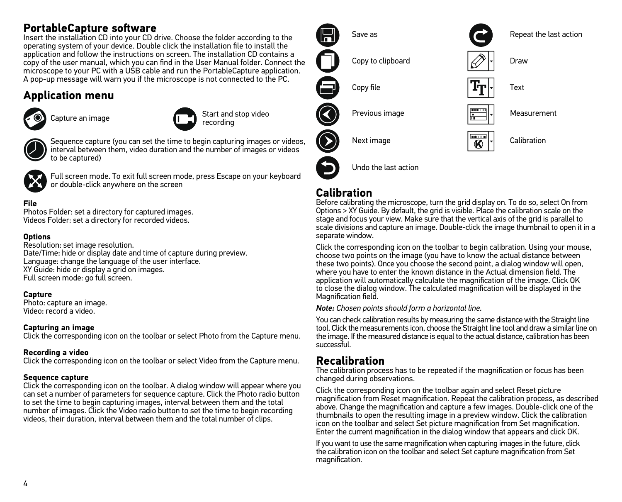## **PortableCapture software**

Insert the installation CD into your CD drive. Choose the folder according to the operating system of your device. Double click the installation file to install the application and follow the instructions on screen. The installation CD contains a copy of the user manual, which you can find in the User Manual folder. Connect the microscope to your PC with a USB cable and run the PortableCapture application. A pop-up message will warn you if the microscope is not connected to the PC.

## **Application menu**





Capture an image  $\begin{array}{|c|c|c|}\n\hline\n\end{array}$  Start and stop video recording



Sequence capture (you can set the time to begin capturing images or videos, interval between them, video duration and the number of images or videos to be captured)



Full screen mode. To exit full screen mode, press Escape on your keyboard or double-click anywhere on the screen

### **File**

Photos Folder: set a directory for captured images. Videos Folder: set a directory for recorded videos.

#### **Options**

Resolution: set image resolution. Date/Time: hide or display date and time of capture during preview. Language: change the language of the user interface. XY Guide: hide or display a grid on images. Full screen mode: go full screen.

#### **Capture**

Photo: capture an image. Video: record a video.

#### **Capturing an image**

Click the corresponding icon on the toolbar or select Photo from the Capture menu.

#### **Recording a video**

Click the corresponding icon on the toolbar or select Video from the Capture menu.

#### **Sequence capture**

Click the corresponding icon on the toolbar. A dialog window will appear where you can set a number of parameters for sequence capture. Click the Photo radio button to set the time to begin capturing images, interval between them and the total number of images. Click the Video radio button to set the time to begin recording videos, their duration, interval between them and the total number of clips.



## **Calibration**

Before calibrating the microscope, turn the grid display on. To do so, select On from Options > XY Guide. By default, the grid is visible. Place the calibration scale on the stage and focus your view. Make sure that the vertical axis of the grid is parallel to scale divisions and capture an image. Double-click the image thumbnail to open it in a separate window.

Click the corresponding icon on the toolbar to begin calibration. Using your mouse, choose two points on the image (you have to know the actual distance between these two points). Once you choose the second point, a dialog window will open, where you have to enter the known distance in the Actual dimension field. The application will automatically calculate the magnification of the image. Click OK to close the dialog window. The calculated magnification will be displayed in the Magnification field.

*Note: Chosen points should form a horizontal line.*

You can check calibration results by measuring the same distance with the Straight line tool. Click the measurements icon, choose the Straight line tool and draw a similar line on the image. If the measured distance is equal to the actual distance, calibration has been successful.

## **Recalibration**

The calibration process has to be repeated if the magnification or focus has been changed during observations.

Click the corresponding icon on the toolbar again and select Reset picture magnification from Reset magnification. Repeat the calibration process, as described above. Change the magnification and capture a few images. Double-click one of the thumbnails to open the resulting image in a preview window. Click the calibration icon on the toolbar and select Set picture magnification from Set magnification. Enter the current magnification in the dialog window that appears and click OK.

If you want to use the same magnification when capturing images in the future, click the calibration icon on the toolbar and select Set capture magnification from Set magnification.